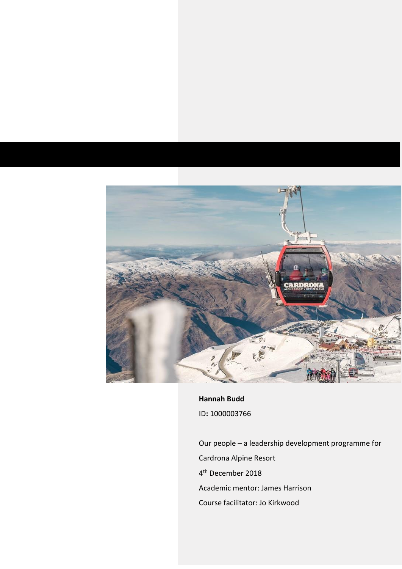

**Hannah Budd** ID**:** 1000003766

Our people – a leadership development programme for Cardrona Alpine Resort 4<sup>th</sup> December 2018 Academic mentor: James Harrison Course facilitator: Jo Kirkwood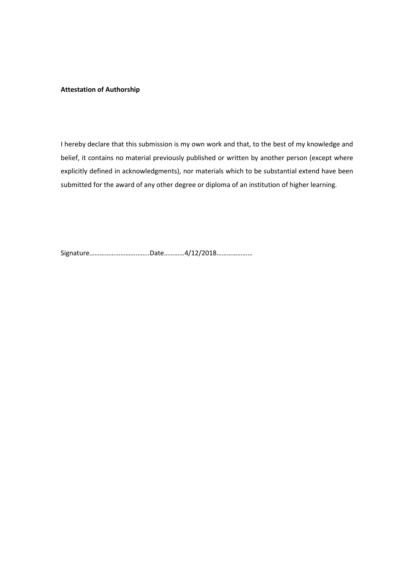# **Attestation of Authorship**

I hereby declare that this submission is my own work and that, to the best of my knowledge and belief, it contains no material previously published or written by another person (except where explicitly defined in acknowledgments), nor materials which to be substantial extend have been submitted for the award of any other degree or diploma of an institution of higher learning.

Signature……………………………..Date…………4/12/2018…………………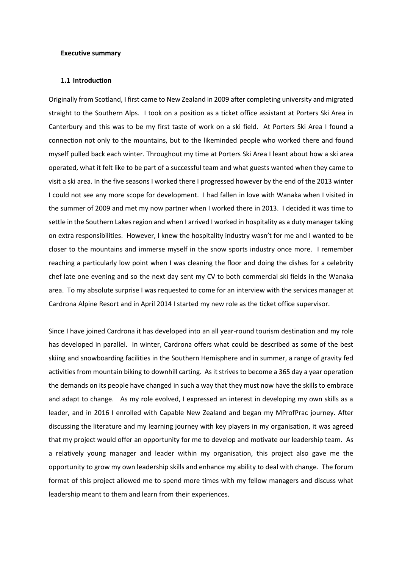### **Executive summary**

### **1.1 Introduction**

Originally from Scotland, I first came to New Zealand in 2009 after completing university and migrated straight to the Southern Alps. I took on a position as a ticket office assistant at Porters Ski Area in Canterbury and this was to be my first taste of work on a ski field. At Porters Ski Area I found a connection not only to the mountains, but to the likeminded people who worked there and found myself pulled back each winter. Throughout my time at Porters Ski Area I leant about how a ski area operated, what it felt like to be part of a successful team and what guests wanted when they came to visit a ski area. In the five seasons I worked there I progressed however by the end of the 2013 winter I could not see any more scope for development. I had fallen in love with Wanaka when I visited in the summer of 2009 and met my now partner when I worked there in 2013. I decided it was time to settle in the Southern Lakes region and when I arrived I worked in hospitality as a duty manager taking on extra responsibilities. However, I knew the hospitality industry wasn't for me and I wanted to be closer to the mountains and immerse myself in the snow sports industry once more. I remember reaching a particularly low point when I was cleaning the floor and doing the dishes for a celebrity chef late one evening and so the next day sent my CV to both commercial ski fields in the Wanaka area. To my absolute surprise I was requested to come for an interview with the services manager at Cardrona Alpine Resort and in April 2014 I started my new role as the ticket office supervisor.

Since I have joined Cardrona it has developed into an all year-round tourism destination and my role has developed in parallel. In winter, Cardrona offers what could be described as some of the best skiing and snowboarding facilities in the Southern Hemisphere and in summer, a range of gravity fed activities from mountain biking to downhill carting. As it strives to become a 365 day a year operation the demands on its people have changed in such a way that they must now have the skills to embrace and adapt to change. As my role evolved, I expressed an interest in developing my own skills as a leader, and in 2016 I enrolled with Capable New Zealand and began my MProfPrac journey. After discussing the literature and my learning journey with key players in my organisation, it was agreed that my project would offer an opportunity for me to develop and motivate our leadership team. As a relatively young manager and leader within my organisation, this project also gave me the opportunity to grow my own leadership skills and enhance my ability to deal with change. The forum format of this project allowed me to spend more times with my fellow managers and discuss what leadership meant to them and learn from their experiences.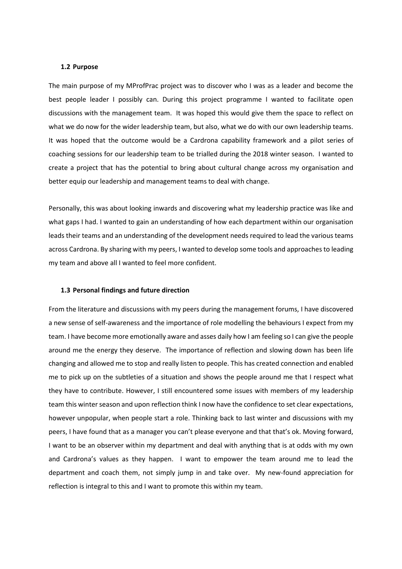### **1.2 Purpose**

The main purpose of my MProfPrac project was to discover who I was as a leader and become the best people leader I possibly can. During this project programme I wanted to facilitate open discussions with the management team. It was hoped this would give them the space to reflect on what we do now for the wider leadership team, but also, what we do with our own leadership teams. It was hoped that the outcome would be a Cardrona capability framework and a pilot series of coaching sessions for our leadership team to be trialled during the 2018 winter season. I wanted to create a project that has the potential to bring about cultural change across my organisation and better equip our leadership and management teams to deal with change.

Personally, this was about looking inwards and discovering what my leadership practice was like and what gaps I had. I wanted to gain an understanding of how each department within our organisation leads their teams and an understanding of the development needs required to lead the various teams across Cardrona. By sharing with my peers, I wanted to develop some tools and approaches to leading my team and above all I wanted to feel more confident.

#### **1.3 Personal findings and future direction**

From the literature and discussions with my peers during the management forums, I have discovered a new sense of self-awareness and the importance of role modelling the behaviours I expect from my team. I have become more emotionally aware and asses daily how I am feeling so I can give the people around me the energy they deserve. The importance of reflection and slowing down has been life changing and allowed me to stop and really listen to people. This has created connection and enabled me to pick up on the subtleties of a situation and shows the people around me that I respect what they have to contribute. However, I still encountered some issues with members of my leadership team this winter season and upon reflection think I now have the confidence to set clear expectations, however unpopular, when people start a role. Thinking back to last winter and discussions with my peers, I have found that as a manager you can't please everyone and that that's ok. Moving forward, I want to be an observer within my department and deal with anything that is at odds with my own and Cardrona's values as they happen. I want to empower the team around me to lead the department and coach them, not simply jump in and take over. My new-found appreciation for reflection is integral to this and I want to promote this within my team.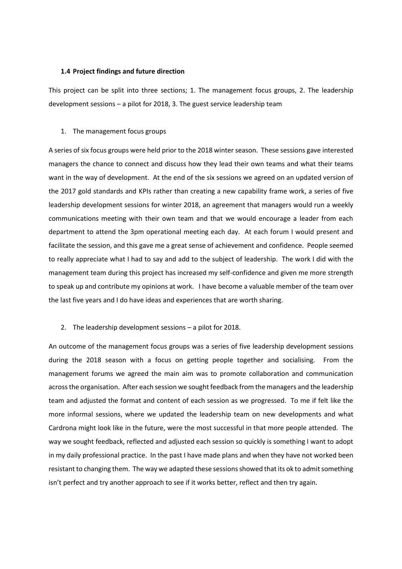# **1.4 Project findings and future direction**

This project can be split into three sections; 1. The management focus groups, 2. The leadership development sessions – a pilot for 2018, 3. The guest service leadership team

# 1. The management focus groups

A series of six focus groups were held prior to the 2018 winter season. These sessions gave interested managers the chance to connect and discuss how they lead their own teams and what their teams want in the way of development. At the end of the six sessions we agreed on an updated version of the 2017 gold standards and KPIs rather than creating a new capability frame work, a series of five leadership development sessions for winter 2018, an agreement that managers would run a weekly communications meeting with their own team and that we would encourage a leader from each department to attend the 3pm operational meeting each day. At each forum I would present and facilitate the session, and this gave me a great sense of achievement and confidence. People seemed to really appreciate what I had to say and add to the subject of leadership. The work I did with the management team during this project has increased my self-confidence and given me more strength to speak up and contribute my opinions at work. I have become a valuable member of the team over the last five years and I do have ideas and experiences that are worth sharing.

2. The leadership development sessions – a pilot for 2018.

An outcome of the management focus groups was a series of five leadership development sessions during the 2018 season with a focus on getting people together and socialising. From the management forums we agreed the main aim was to promote collaboration and communication across the organisation. After each session we sought feedback from the managers and the leadership team and adjusted the format and content of each session as we progressed. To me if felt like the more informal sessions, where we updated the leadership team on new developments and what Cardrona might look like in the future, were the most successful in that more people attended. The way we sought feedback, reflected and adjusted each session so quickly is something I want to adopt in my daily professional practice. In the past I have made plans and when they have not worked been resistant to changing them. The way we adapted these sessions showed that its ok to admit something isn't perfect and try another approach to see if it works better, reflect and then try again.